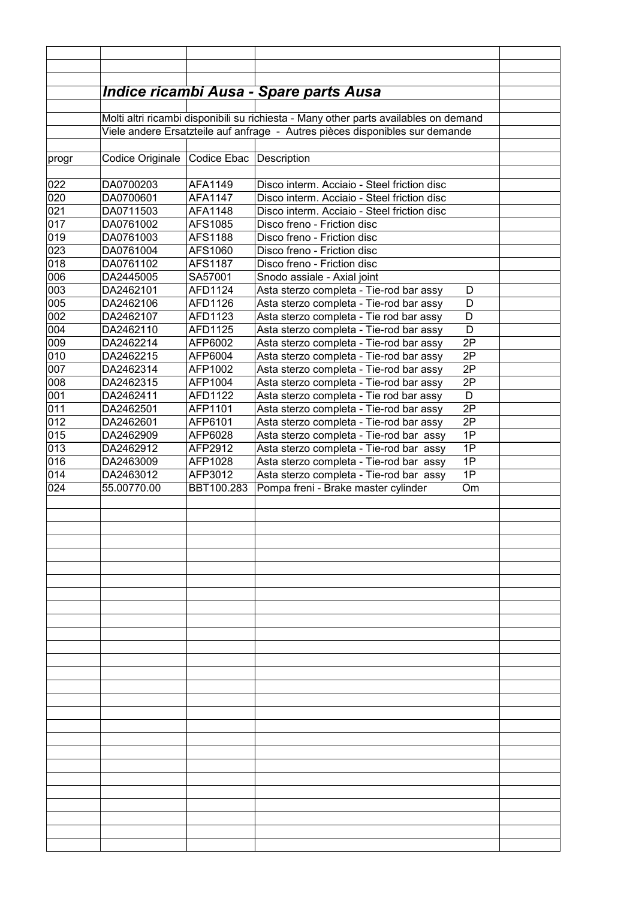|            |                                                                                                                                                                      |                    | <b>Indice ricambi Ausa - Spare parts Ausa</b>                                                 |  |
|------------|----------------------------------------------------------------------------------------------------------------------------------------------------------------------|--------------------|-----------------------------------------------------------------------------------------------|--|
|            |                                                                                                                                                                      |                    |                                                                                               |  |
|            | Molti altri ricambi disponibili su richiesta - Many other parts availables on demand<br>Viele andere Ersatzteile auf anfrage - Autres pièces disponibles sur demande |                    |                                                                                               |  |
|            |                                                                                                                                                                      |                    |                                                                                               |  |
| progr      | Codice Originale                                                                                                                                                     | Codice Ebac        | Description                                                                                   |  |
|            |                                                                                                                                                                      |                    |                                                                                               |  |
| 022        | DA0700203                                                                                                                                                            | AFA1149            | Disco interm. Acciaio - Steel friction disc                                                   |  |
| 020        | DA0700601<br>DA0711503                                                                                                                                               | <b>AFA1147</b>     | Disco interm. Acciaio - Steel friction disc                                                   |  |
| 021<br>017 | DA0761002                                                                                                                                                            | AFA1148<br>AFS1085 | Disco interm. Acciaio - Steel friction disc<br>Disco freno - Friction disc                    |  |
| 019        | DA0761003                                                                                                                                                            | AFS1188            | Disco freno - Friction disc                                                                   |  |
| 023        | DA0761004                                                                                                                                                            | AFS1060            | Disco freno - Friction disc                                                                   |  |
| 018        | DA0761102                                                                                                                                                            | AFS1187            | Disco freno - Friction disc                                                                   |  |
| 006        | DA2445005                                                                                                                                                            | SA57001            | Snodo assiale - Axial joint                                                                   |  |
| 003        | DA2462101                                                                                                                                                            | AFD1124            | Asta sterzo completa - Tie-rod bar assy<br>D                                                  |  |
| 005        | DA2462106                                                                                                                                                            | AFD1126            | Asta sterzo completa - Tie-rod bar assy<br>D                                                  |  |
| 002        | DA2462107                                                                                                                                                            | AFD1123            | D<br>Asta sterzo completa - Tie rod bar assy                                                  |  |
| 004        | DA2462110                                                                                                                                                            | AFD1125            | D<br>Asta sterzo completa - Tie-rod bar assy                                                  |  |
| 009        | DA2462214                                                                                                                                                            | AFP6002            | 2P<br>Asta sterzo completa - Tie-rod bar assy                                                 |  |
| 010        | DA2462215                                                                                                                                                            | AFP6004            | 2P<br>Asta sterzo completa - Tie-rod bar assy                                                 |  |
| 007        | DA2462314                                                                                                                                                            | AFP1002            | 2P<br>Asta sterzo completa - Tie-rod bar assy                                                 |  |
| 008<br>001 | DA2462315<br>DA2462411                                                                                                                                               | AFP1004<br>AFD1122 | 2P<br>Asta sterzo completa - Tie-rod bar assy<br>D<br>Asta sterzo completa - Tie rod bar assy |  |
| 011        | DA2462501                                                                                                                                                            | AFP1101            | 2P<br>Asta sterzo completa - Tie-rod bar assy                                                 |  |
| 012        | DA2462601                                                                                                                                                            | AFP6101            | 2P<br>Asta sterzo completa - Tie-rod bar assy                                                 |  |
| 015        | DA2462909                                                                                                                                                            | AFP6028            | 1P<br>Asta sterzo completa - Tie-rod bar assy                                                 |  |
| 013        | DA2462912                                                                                                                                                            | AFP2912            | 1P<br>Asta sterzo completa - Tie-rod bar assy                                                 |  |
| 016        | DA2463009                                                                                                                                                            | AFP1028            | 1P<br>Asta sterzo completa - Tie-rod bar assy                                                 |  |
| 014        | DA2463012                                                                                                                                                            | AFP3012            | 1P<br>Asta sterzo completa - Tie-rod bar assy                                                 |  |
| 024        | 55.00770.00                                                                                                                                                          | BBT100.283         | Pompa freni - Brake master cylinder<br>Om                                                     |  |
|            |                                                                                                                                                                      |                    |                                                                                               |  |
|            |                                                                                                                                                                      |                    |                                                                                               |  |
|            |                                                                                                                                                                      |                    |                                                                                               |  |
|            |                                                                                                                                                                      |                    |                                                                                               |  |
|            |                                                                                                                                                                      |                    |                                                                                               |  |
|            |                                                                                                                                                                      |                    |                                                                                               |  |
|            |                                                                                                                                                                      |                    |                                                                                               |  |
|            |                                                                                                                                                                      |                    |                                                                                               |  |
|            |                                                                                                                                                                      |                    |                                                                                               |  |
|            |                                                                                                                                                                      |                    |                                                                                               |  |
|            |                                                                                                                                                                      |                    |                                                                                               |  |
|            |                                                                                                                                                                      |                    |                                                                                               |  |
|            |                                                                                                                                                                      |                    |                                                                                               |  |
|            |                                                                                                                                                                      |                    |                                                                                               |  |
|            |                                                                                                                                                                      |                    |                                                                                               |  |
|            |                                                                                                                                                                      |                    |                                                                                               |  |
|            |                                                                                                                                                                      |                    |                                                                                               |  |
|            |                                                                                                                                                                      |                    |                                                                                               |  |
|            |                                                                                                                                                                      |                    |                                                                                               |  |
|            |                                                                                                                                                                      |                    |                                                                                               |  |
|            |                                                                                                                                                                      |                    |                                                                                               |  |
|            |                                                                                                                                                                      |                    |                                                                                               |  |
|            |                                                                                                                                                                      |                    |                                                                                               |  |
|            |                                                                                                                                                                      |                    |                                                                                               |  |
|            |                                                                                                                                                                      |                    |                                                                                               |  |